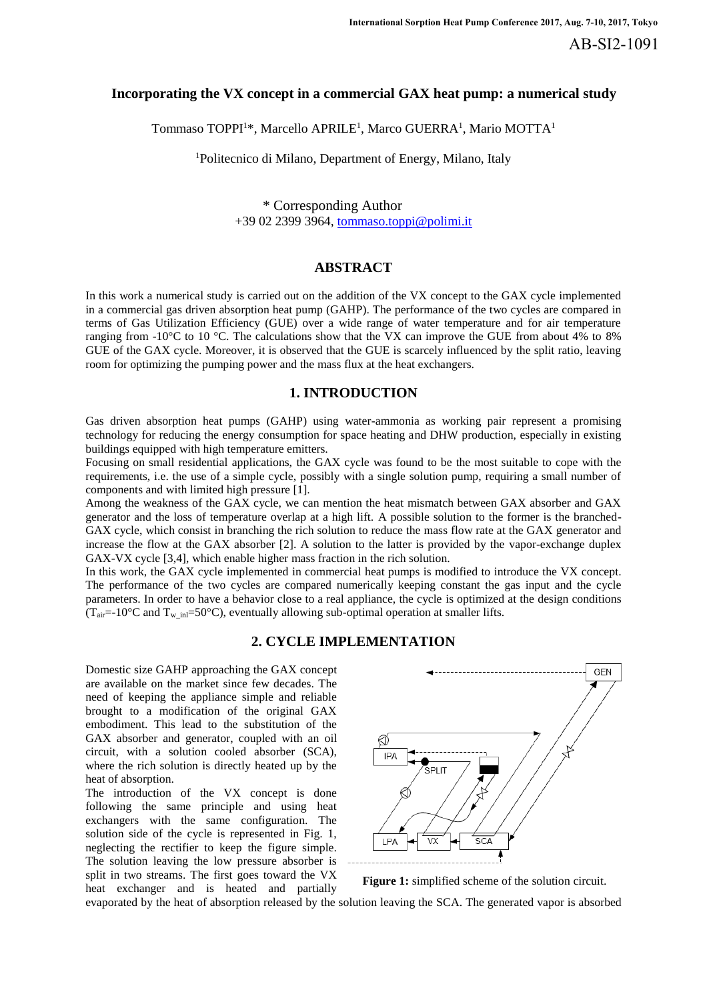# **Incorporating the VX concept in a commercial GAX heat pump: a numerical study**

Tommaso TOPPI $^{\rm l*}$ , Marcello APRILE<sup>1</sup>, Marco GUERRA<sup>1</sup>, Mario MOTTA $^{\rm l}$ 

<sup>1</sup>Politecnico di Milano, Department of Energy, Milano, Italy

\* Corresponding Author +39 02 2399 3964, tommaso.toppi@polimi.it

### **ABSTRACT**

In this work a numerical study is carried out on the addition of the VX concept to the GAX cycle implemented in a commercial gas driven absorption heat pump (GAHP). The performance of the two cycles are compared in terms of Gas Utilization Efficiency (GUE) over a wide range of water temperature and for air temperature ranging from -10°C to 10 °C. The calculations show that the VX can improve the GUE from about 4% to 8% GUE of the GAX cycle. Moreover, it is observed that the GUE is scarcely influenced by the split ratio, leaving room for optimizing the pumping power and the mass flux at the heat exchangers.

# **1. INTRODUCTION**

Gas driven absorption heat pumps (GAHP) using water-ammonia as working pair represent a promising technology for reducing the energy consumption for space heating and DHW production, especially in existing buildings equipped with high temperature emitters.

Focusing on small residential applications, the GAX cycle was found to be the most suitable to cope with the requirements, i.e. the use of a simple cycle, possibly with a single solution pump, requiring a small number of components and with limited high pressure [1].

Among the weakness of the GAX cycle, we can mention the heat mismatch between GAX absorber and GAX generator and the loss of temperature overlap at a high lift. A possible solution to the former is the branched-GAX cycle, which consist in branching the rich solution to reduce the mass flow rate at the GAX generator and increase the flow at the GAX absorber [2]. A solution to the latter is provided by the vapor-exchange duplex GAX-VX cycle [3,4], which enable higher mass fraction in the rich solution.

In this work, the GAX cycle implemented in commercial heat pumps is modified to introduce the VX concept. The performance of the two cycles are compared numerically keeping constant the gas input and the cycle parameters. In order to have a behavior close to a real appliance, the cycle is optimized at the design conditions  $(T_{air}=10^{\circ}$ C and  $T_{w-in}=50^{\circ}$ C), eventually allowing sub-optimal operation at smaller lifts.

# **2. CYCLE IMPLEMENTATION**

Domestic size GAHP approaching the GAX concept are available on the market since few decades. The need of keeping the appliance simple and reliable brought to a modification of the original GAX embodiment. This lead to the substitution of the GAX absorber and generator, coupled with an oil circuit, with a solution cooled absorber (SCA), where the rich solution is directly heated up by the heat of absorption.

The introduction of the VX concept is done following the same principle and using heat exchangers with the same configuration. The solution side of the cycle is represented in Fig. 1, neglecting the rectifier to keep the figure simple. The solution leaving the low pressure absorber is split in two streams. The first goes toward the VX heat exchanger and is heated and partially





evaporated by the heat of absorption released by the solution leaving the SCA. The generated vapor is absorbed